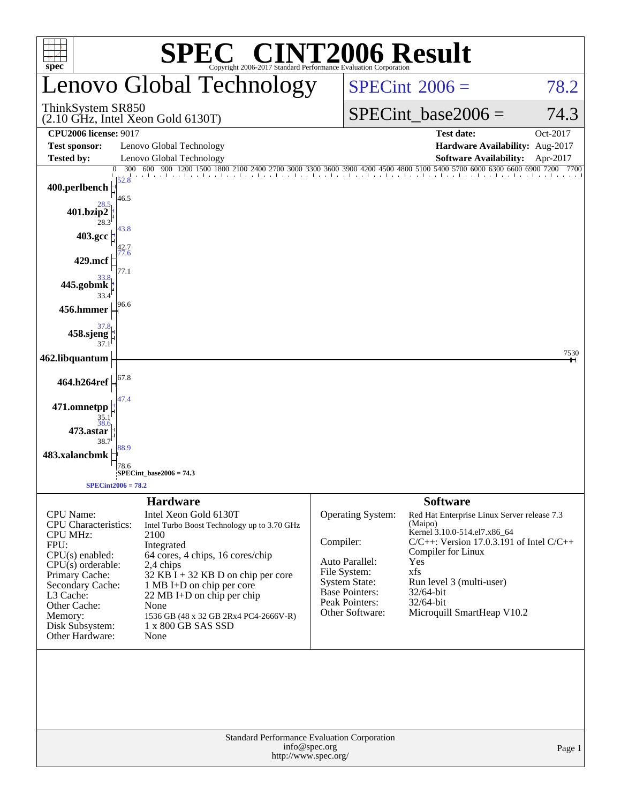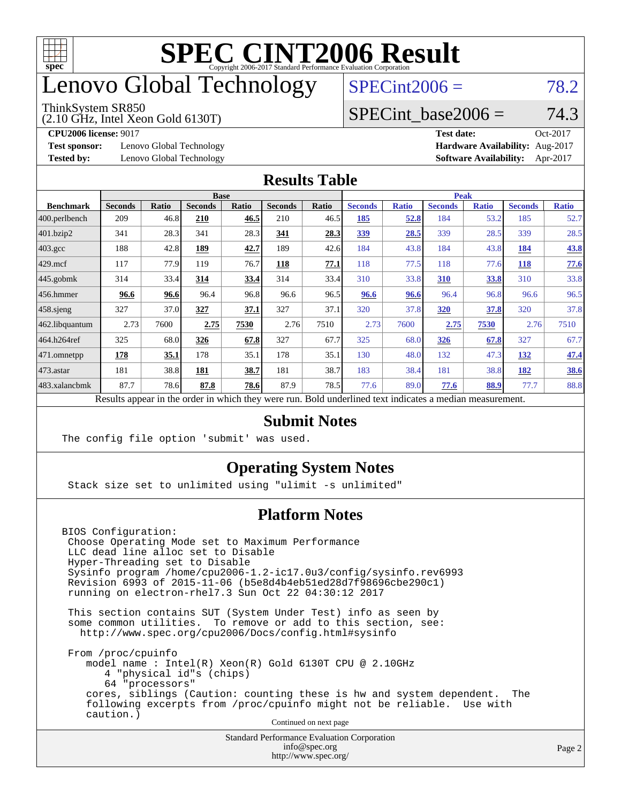

## enovo Global Technology

#### ThinkSystem SR850

(2.10 GHz, Intel Xeon Gold 6130T)

 $SPECint2006 = 78.2$  $SPECint2006 = 78.2$ 

#### SPECint base2006 =  $74.3$

**[Test sponsor:](http://www.spec.org/auto/cpu2006/Docs/result-fields.html#Testsponsor)** Lenovo Global Technology **[Hardware Availability:](http://www.spec.org/auto/cpu2006/Docs/result-fields.html#HardwareAvailability)** Aug-2017

**[CPU2006 license:](http://www.spec.org/auto/cpu2006/Docs/result-fields.html#CPU2006license)** 9017 **[Test date:](http://www.spec.org/auto/cpu2006/Docs/result-fields.html#Testdate)** Oct-2017 **[Tested by:](http://www.spec.org/auto/cpu2006/Docs/result-fields.html#Testedby)** Lenovo Global Technology **[Software Availability:](http://www.spec.org/auto/cpu2006/Docs/result-fields.html#SoftwareAvailability)** Apr-2017

#### **[Results Table](http://www.spec.org/auto/cpu2006/Docs/result-fields.html#ResultsTable)**

|                                                                                                          | <b>Base</b>    |              |                |              |                |       | <b>Peak</b>    |              |                |              |                |              |
|----------------------------------------------------------------------------------------------------------|----------------|--------------|----------------|--------------|----------------|-------|----------------|--------------|----------------|--------------|----------------|--------------|
| <b>Benchmark</b>                                                                                         | <b>Seconds</b> | <b>Ratio</b> | <b>Seconds</b> | <b>Ratio</b> | <b>Seconds</b> | Ratio | <b>Seconds</b> | <b>Ratio</b> | <b>Seconds</b> | <b>Ratio</b> | <b>Seconds</b> | <b>Ratio</b> |
| $ 400$ .perlbench                                                                                        | 209            | 46.8         | 210            | 46.5         | 210            | 46.5  | 185            | 52.8         | 184            | 53.2         | 185            | 52.7         |
| 401.bzip2                                                                                                | 341            | 28.3         | 341            | 28.3         | 341            | 28.3  | <u>339</u>     | 28.5         | 339            | 28.5         | 339            | 28.5         |
| $403.\text{gcc}$                                                                                         | 188            | 42.8         | 189            | 42.7         | 189            | 42.6  | 184            | 43.8         | 184            | 43.8         | 184            | <u>43.8</u>  |
| $429$ .mcf                                                                                               | 117            | 77.9         | 119            | 76.7         | 118            | 77.1  | 118            | 77.5         | 118            | 77.6         | <b>118</b>     | 77.6         |
| $445$ .gobmk                                                                                             | 314            | 33.4         | 314            | 33.4         | 314            | 33.4  | 310            | 33.8         | 310            | 33.8         | 310            | 33.8         |
| $456.$ hmmer                                                                                             | 96.6           | 96.6         | 96.4           | 96.8         | 96.6           | 96.5  | 96.6           | 96.6         | 96.4           | 96.8         | 96.6           | 96.5         |
| $458$ .sjeng                                                                                             | 327            | 37.0         | 327            | 37.1         | 327            | 37.1  | 320            | 37.8         | 320            | 37.8         | 320            | 37.8         |
| 462.libquantum                                                                                           | 2.73           | 7600         | 2.75           | 7530         | 2.76           | 7510  | 2.73           | 7600         | 2.75           | 7530         | 2.76           | 7510         |
| 464.h264ref                                                                                              | 325            | 68.0         | 326            | 67.8         | 327            | 67.7  | 325            | 68.0         | 326            | 67.8         | 327            | 67.7         |
| 471.omnetpp                                                                                              | 178            | 35.1         | 178            | 35.1         | 178            | 35.1  | 130            | 48.0         | 132            | 47.3         | 132            | 47.4         |
| $473$ . astar                                                                                            | 181            | 38.8         | 181            | 38.7         | 181            | 38.7  | 183            | 38.4         | 181            | 38.8         | 182            | 38.6         |
| 483.xalancbmk                                                                                            | 87.7           | 78.6         | 87.8           | 78.6         | 87.9           | 78.5  | 77.6           | 89.0         | 77.6           | 88.9         | 77.7           | 88.8         |
| Results appear in the order in which they were run. Bold underlined text indicates a median measurement. |                |              |                |              |                |       |                |              |                |              |                |              |

#### **[Submit Notes](http://www.spec.org/auto/cpu2006/Docs/result-fields.html#SubmitNotes)**

The config file option 'submit' was used.

#### **[Operating System Notes](http://www.spec.org/auto/cpu2006/Docs/result-fields.html#OperatingSystemNotes)**

Stack size set to unlimited using "ulimit -s unlimited"

#### **[Platform Notes](http://www.spec.org/auto/cpu2006/Docs/result-fields.html#PlatformNotes)**

BIOS Configuration: Choose Operating Mode set to Maximum Performance LLC dead line alloc set to Disable Hyper-Threading set to Disable Sysinfo program /home/cpu2006-1.2-ic17.0u3/config/sysinfo.rev6993 Revision 6993 of 2015-11-06 (b5e8d4b4eb51ed28d7f98696cbe290c1) running on electron-rhel7.3 Sun Oct 22 04:30:12 2017

 This section contains SUT (System Under Test) info as seen by some common utilities. To remove or add to this section, see: <http://www.spec.org/cpu2006/Docs/config.html#sysinfo>

 From /proc/cpuinfo model name : Intel(R) Xeon(R) Gold 6130T CPU @ 2.10GHz 4 "physical id"s (chips) 64 "processors" cores, siblings (Caution: counting these is hw and system dependent. The following excerpts from /proc/cpuinfo might not be reliable. Use with caution.)

Continued on next page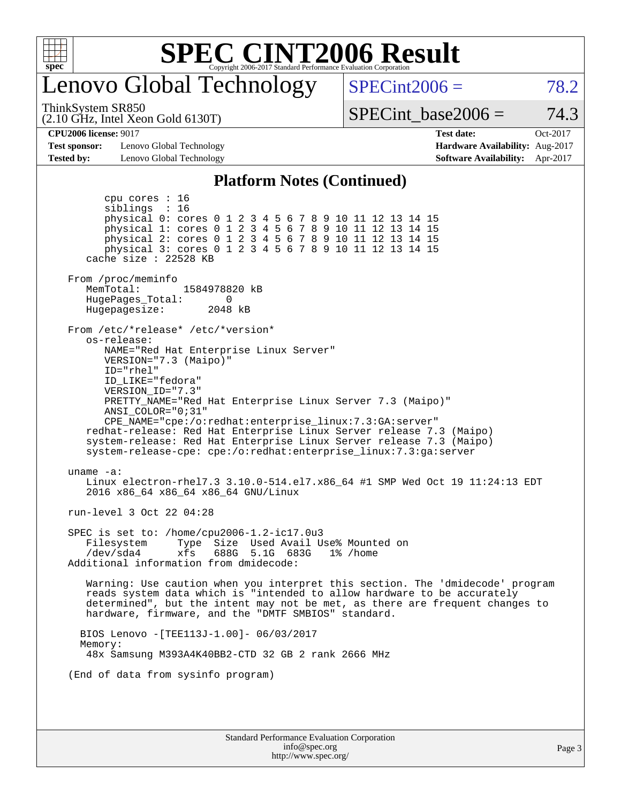

### enovo Global Technology

 $SPECint2006 = 78.2$  $SPECint2006 = 78.2$ 

ThinkSystem SR850

(2.10 GHz, Intel Xeon Gold 6130T)

SPECint base2006 =  $74.3$ 

**[Test sponsor:](http://www.spec.org/auto/cpu2006/Docs/result-fields.html#Testsponsor)** Lenovo Global Technology **[Hardware Availability:](http://www.spec.org/auto/cpu2006/Docs/result-fields.html#HardwareAvailability)** Aug-2017 **[Tested by:](http://www.spec.org/auto/cpu2006/Docs/result-fields.html#Testedby)** Lenovo Global Technology **[Software Availability:](http://www.spec.org/auto/cpu2006/Docs/result-fields.html#SoftwareAvailability)** Apr-2017

**[CPU2006 license:](http://www.spec.org/auto/cpu2006/Docs/result-fields.html#CPU2006license)** 9017 **[Test date:](http://www.spec.org/auto/cpu2006/Docs/result-fields.html#Testdate)** Oct-2017

#### **[Platform Notes \(Continued\)](http://www.spec.org/auto/cpu2006/Docs/result-fields.html#PlatformNotes)**

Standard Performance Evaluation Corporation [info@spec.org](mailto:info@spec.org) <http://www.spec.org/> Page 3 cpu cores : 16 siblings : 16 physical 0: cores 0 1 2 3 4 5 6 7 8 9 10 11 12 13 14 15 physical 1: cores 0 1 2 3 4 5 6 7 8 9 10 11 12 13 14 15 physical 2: cores 0 1 2 3 4 5 6 7 8 9 10 11 12 13 14 15 physical 3: cores 0 1 2 3 4 5 6 7 8 9 10 11 12 13 14 15 cache size : 22528 KB From /proc/meminfo MemTotal: 1584978820 kB<br>HugePages Total: 0 HugePages\_Total: 0 Hugepagesize: 2048 kB From /etc/\*release\* /etc/\*version\* os-release: NAME="Red Hat Enterprise Linux Server" VERSION="7.3 (Maipo)" ID="rhel" ID\_LIKE="fedora" VERSION\_ID="7.3" PRETTY\_NAME="Red Hat Enterprise Linux Server 7.3 (Maipo)" ANSI\_COLOR="0;31" CPE\_NAME="cpe:/o:redhat:enterprise\_linux:7.3:GA:server" redhat-release: Red Hat Enterprise Linux Server release 7.3 (Maipo) system-release: Red Hat Enterprise Linux Server release 7.3 (Maipo) system-release-cpe: cpe:/o:redhat:enterprise\_linux:7.3:ga:server uname -a: Linux electron-rhel7.3 3.10.0-514.el7.x86\_64 #1 SMP Wed Oct 19 11:24:13 EDT 2016 x86\_64 x86\_64 x86\_64 GNU/Linux run-level 3 Oct 22 04:28 SPEC is set to: /home/cpu2006-1.2-ic17.0u3 Filesystem Type Size Used Avail Use% Mounted on /dev/sda4 xfs 688G 5.1G 683G 1% /home Additional information from dmidecode: Warning: Use caution when you interpret this section. The 'dmidecode' program reads system data which is "intended to allow hardware to be accurately determined", but the intent may not be met, as there are frequent changes to hardware, firmware, and the "DMTF SMBIOS" standard. BIOS Lenovo -[TEE113J-1.00]- 06/03/2017 Memory: 48x Samsung M393A4K40BB2-CTD 32 GB 2 rank 2666 MHz (End of data from sysinfo program)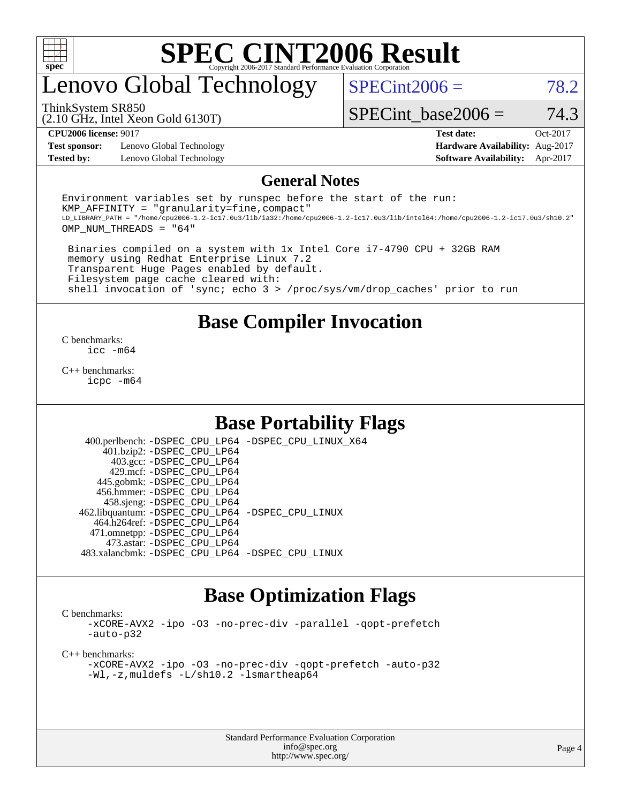

### enovo Global Technology

 $SPECint2006 = 78.2$  $SPECint2006 = 78.2$ 

(2.10 GHz, Intel Xeon Gold 6130T) ThinkSystem SR850

SPECint base2006 =  $74.3$ 

**[Test sponsor:](http://www.spec.org/auto/cpu2006/Docs/result-fields.html#Testsponsor)** Lenovo Global Technology **[Hardware Availability:](http://www.spec.org/auto/cpu2006/Docs/result-fields.html#HardwareAvailability)** Aug-2017 **[Tested by:](http://www.spec.org/auto/cpu2006/Docs/result-fields.html#Testedby)** Lenovo Global Technology **[Software Availability:](http://www.spec.org/auto/cpu2006/Docs/result-fields.html#SoftwareAvailability)** Apr-2017

**[CPU2006 license:](http://www.spec.org/auto/cpu2006/Docs/result-fields.html#CPU2006license)** 9017 **[Test date:](http://www.spec.org/auto/cpu2006/Docs/result-fields.html#Testdate)** Oct-2017

#### **[General Notes](http://www.spec.org/auto/cpu2006/Docs/result-fields.html#GeneralNotes)**

Environment variables set by runspec before the start of the run:  $KMP$  AFFINITY = "granularity=fine, compact" LD\_LIBRARY\_PATH = "/home/cpu2006-1.2-ic17.0u3/lib/ia32:/home/cpu2006-1.2-ic17.0u3/lib/intel64:/home/cpu2006-1.2-ic17.0u3/sh10.2" OMP\_NUM\_THREADS = "64"

 Binaries compiled on a system with 1x Intel Core i7-4790 CPU + 32GB RAM memory using Redhat Enterprise Linux 7.2 Transparent Huge Pages enabled by default. Filesystem page cache cleared with: shell invocation of 'sync; echo 3 > /proc/sys/vm/drop\_caches' prior to run

#### **[Base Compiler Invocation](http://www.spec.org/auto/cpu2006/Docs/result-fields.html#BaseCompilerInvocation)**

[C benchmarks](http://www.spec.org/auto/cpu2006/Docs/result-fields.html#Cbenchmarks): [icc -m64](http://www.spec.org/cpu2006/results/res2017q4/cpu2006-20171211-51103.flags.html#user_CCbase_intel_icc_64bit_bda6cc9af1fdbb0edc3795bac97ada53)

[C++ benchmarks:](http://www.spec.org/auto/cpu2006/Docs/result-fields.html#CXXbenchmarks) [icpc -m64](http://www.spec.org/cpu2006/results/res2017q4/cpu2006-20171211-51103.flags.html#user_CXXbase_intel_icpc_64bit_fc66a5337ce925472a5c54ad6a0de310)

### **[Base Portability Flags](http://www.spec.org/auto/cpu2006/Docs/result-fields.html#BasePortabilityFlags)**

 400.perlbench: [-DSPEC\\_CPU\\_LP64](http://www.spec.org/cpu2006/results/res2017q4/cpu2006-20171211-51103.flags.html#b400.perlbench_basePORTABILITY_DSPEC_CPU_LP64) [-DSPEC\\_CPU\\_LINUX\\_X64](http://www.spec.org/cpu2006/results/res2017q4/cpu2006-20171211-51103.flags.html#b400.perlbench_baseCPORTABILITY_DSPEC_CPU_LINUX_X64) 401.bzip2: [-DSPEC\\_CPU\\_LP64](http://www.spec.org/cpu2006/results/res2017q4/cpu2006-20171211-51103.flags.html#suite_basePORTABILITY401_bzip2_DSPEC_CPU_LP64) 403.gcc: [-DSPEC\\_CPU\\_LP64](http://www.spec.org/cpu2006/results/res2017q4/cpu2006-20171211-51103.flags.html#suite_basePORTABILITY403_gcc_DSPEC_CPU_LP64) 429.mcf: [-DSPEC\\_CPU\\_LP64](http://www.spec.org/cpu2006/results/res2017q4/cpu2006-20171211-51103.flags.html#suite_basePORTABILITY429_mcf_DSPEC_CPU_LP64) 445.gobmk: [-DSPEC\\_CPU\\_LP64](http://www.spec.org/cpu2006/results/res2017q4/cpu2006-20171211-51103.flags.html#suite_basePORTABILITY445_gobmk_DSPEC_CPU_LP64) 456.hmmer: [-DSPEC\\_CPU\\_LP64](http://www.spec.org/cpu2006/results/res2017q4/cpu2006-20171211-51103.flags.html#suite_basePORTABILITY456_hmmer_DSPEC_CPU_LP64) 458.sjeng: [-DSPEC\\_CPU\\_LP64](http://www.spec.org/cpu2006/results/res2017q4/cpu2006-20171211-51103.flags.html#suite_basePORTABILITY458_sjeng_DSPEC_CPU_LP64) 462.libquantum: [-DSPEC\\_CPU\\_LP64](http://www.spec.org/cpu2006/results/res2017q4/cpu2006-20171211-51103.flags.html#suite_basePORTABILITY462_libquantum_DSPEC_CPU_LP64) [-DSPEC\\_CPU\\_LINUX](http://www.spec.org/cpu2006/results/res2017q4/cpu2006-20171211-51103.flags.html#b462.libquantum_baseCPORTABILITY_DSPEC_CPU_LINUX) 464.h264ref: [-DSPEC\\_CPU\\_LP64](http://www.spec.org/cpu2006/results/res2017q4/cpu2006-20171211-51103.flags.html#suite_basePORTABILITY464_h264ref_DSPEC_CPU_LP64) 471.omnetpp: [-DSPEC\\_CPU\\_LP64](http://www.spec.org/cpu2006/results/res2017q4/cpu2006-20171211-51103.flags.html#suite_basePORTABILITY471_omnetpp_DSPEC_CPU_LP64) 473.astar: [-DSPEC\\_CPU\\_LP64](http://www.spec.org/cpu2006/results/res2017q4/cpu2006-20171211-51103.flags.html#suite_basePORTABILITY473_astar_DSPEC_CPU_LP64) 483.xalancbmk: [-DSPEC\\_CPU\\_LP64](http://www.spec.org/cpu2006/results/res2017q4/cpu2006-20171211-51103.flags.html#suite_basePORTABILITY483_xalancbmk_DSPEC_CPU_LP64) [-DSPEC\\_CPU\\_LINUX](http://www.spec.org/cpu2006/results/res2017q4/cpu2006-20171211-51103.flags.html#b483.xalancbmk_baseCXXPORTABILITY_DSPEC_CPU_LINUX)

### **[Base Optimization Flags](http://www.spec.org/auto/cpu2006/Docs/result-fields.html#BaseOptimizationFlags)**

[C benchmarks](http://www.spec.org/auto/cpu2006/Docs/result-fields.html#Cbenchmarks):

[-xCORE-AVX2](http://www.spec.org/cpu2006/results/res2017q4/cpu2006-20171211-51103.flags.html#user_CCbase_f-xCORE-AVX2) [-ipo](http://www.spec.org/cpu2006/results/res2017q4/cpu2006-20171211-51103.flags.html#user_CCbase_f-ipo) [-O3](http://www.spec.org/cpu2006/results/res2017q4/cpu2006-20171211-51103.flags.html#user_CCbase_f-O3) [-no-prec-div](http://www.spec.org/cpu2006/results/res2017q4/cpu2006-20171211-51103.flags.html#user_CCbase_f-no-prec-div) [-parallel](http://www.spec.org/cpu2006/results/res2017q4/cpu2006-20171211-51103.flags.html#user_CCbase_f-parallel) [-qopt-prefetch](http://www.spec.org/cpu2006/results/res2017q4/cpu2006-20171211-51103.flags.html#user_CCbase_f-qopt-prefetch) [-auto-p32](http://www.spec.org/cpu2006/results/res2017q4/cpu2006-20171211-51103.flags.html#user_CCbase_f-auto-p32)

[C++ benchmarks:](http://www.spec.org/auto/cpu2006/Docs/result-fields.html#CXXbenchmarks)

[-xCORE-AVX2](http://www.spec.org/cpu2006/results/res2017q4/cpu2006-20171211-51103.flags.html#user_CXXbase_f-xCORE-AVX2) [-ipo](http://www.spec.org/cpu2006/results/res2017q4/cpu2006-20171211-51103.flags.html#user_CXXbase_f-ipo) [-O3](http://www.spec.org/cpu2006/results/res2017q4/cpu2006-20171211-51103.flags.html#user_CXXbase_f-O3) [-no-prec-div](http://www.spec.org/cpu2006/results/res2017q4/cpu2006-20171211-51103.flags.html#user_CXXbase_f-no-prec-div) [-qopt-prefetch](http://www.spec.org/cpu2006/results/res2017q4/cpu2006-20171211-51103.flags.html#user_CXXbase_f-qopt-prefetch) [-auto-p32](http://www.spec.org/cpu2006/results/res2017q4/cpu2006-20171211-51103.flags.html#user_CXXbase_f-auto-p32) [-Wl,-z,muldefs](http://www.spec.org/cpu2006/results/res2017q4/cpu2006-20171211-51103.flags.html#user_CXXbase_link_force_multiple1_74079c344b956b9658436fd1b6dd3a8a) [-L/sh10.2 -lsmartheap64](http://www.spec.org/cpu2006/results/res2017q4/cpu2006-20171211-51103.flags.html#user_CXXbase_SmartHeap64_63911d860fc08c15fa1d5bf319b9d8d5)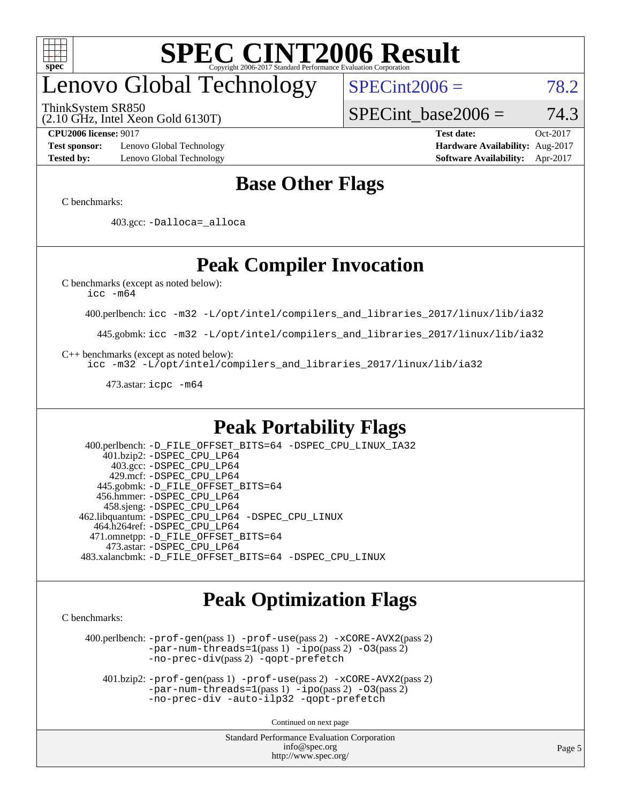

# enovo Global Technology

ThinkSystem SR850

 $SPECint2006 = 78.2$  $SPECint2006 = 78.2$ 

(2.10 GHz, Intel Xeon Gold 6130T)

SPECint base2006 =  $74.3$ 

**[Test sponsor:](http://www.spec.org/auto/cpu2006/Docs/result-fields.html#Testsponsor)** Lenovo Global Technology **[Hardware Availability:](http://www.spec.org/auto/cpu2006/Docs/result-fields.html#HardwareAvailability)** Aug-2017 **[Tested by:](http://www.spec.org/auto/cpu2006/Docs/result-fields.html#Testedby)** Lenovo Global Technology **[Software Availability:](http://www.spec.org/auto/cpu2006/Docs/result-fields.html#SoftwareAvailability)** Apr-2017

**[CPU2006 license:](http://www.spec.org/auto/cpu2006/Docs/result-fields.html#CPU2006license)** 9017 **[Test date:](http://www.spec.org/auto/cpu2006/Docs/result-fields.html#Testdate)** Oct-2017

### **[Base Other Flags](http://www.spec.org/auto/cpu2006/Docs/result-fields.html#BaseOtherFlags)**

[C benchmarks](http://www.spec.org/auto/cpu2006/Docs/result-fields.html#Cbenchmarks):

403.gcc: [-Dalloca=\\_alloca](http://www.spec.org/cpu2006/results/res2017q4/cpu2006-20171211-51103.flags.html#b403.gcc_baseEXTRA_CFLAGS_Dalloca_be3056838c12de2578596ca5467af7f3)

### **[Peak Compiler Invocation](http://www.spec.org/auto/cpu2006/Docs/result-fields.html#PeakCompilerInvocation)**

[C benchmarks \(except as noted below\)](http://www.spec.org/auto/cpu2006/Docs/result-fields.html#Cbenchmarksexceptasnotedbelow):

[icc -m64](http://www.spec.org/cpu2006/results/res2017q4/cpu2006-20171211-51103.flags.html#user_CCpeak_intel_icc_64bit_bda6cc9af1fdbb0edc3795bac97ada53)

400.perlbench: [icc -m32 -L/opt/intel/compilers\\_and\\_libraries\\_2017/linux/lib/ia32](http://www.spec.org/cpu2006/results/res2017q4/cpu2006-20171211-51103.flags.html#user_peakCCLD400_perlbench_intel_icc_c29f3ff5a7ed067b11e4ec10a03f03ae)

445.gobmk: [icc -m32 -L/opt/intel/compilers\\_and\\_libraries\\_2017/linux/lib/ia32](http://www.spec.org/cpu2006/results/res2017q4/cpu2006-20171211-51103.flags.html#user_peakCCLD445_gobmk_intel_icc_c29f3ff5a7ed067b11e4ec10a03f03ae)

[C++ benchmarks \(except as noted below\):](http://www.spec.org/auto/cpu2006/Docs/result-fields.html#CXXbenchmarksexceptasnotedbelow)

[icc -m32 -L/opt/intel/compilers\\_and\\_libraries\\_2017/linux/lib/ia32](http://www.spec.org/cpu2006/results/res2017q4/cpu2006-20171211-51103.flags.html#user_CXXpeak_intel_icc_c29f3ff5a7ed067b11e4ec10a03f03ae)

473.astar: [icpc -m64](http://www.spec.org/cpu2006/results/res2017q4/cpu2006-20171211-51103.flags.html#user_peakCXXLD473_astar_intel_icpc_64bit_fc66a5337ce925472a5c54ad6a0de310)

### **[Peak Portability Flags](http://www.spec.org/auto/cpu2006/Docs/result-fields.html#PeakPortabilityFlags)**

 400.perlbench: [-D\\_FILE\\_OFFSET\\_BITS=64](http://www.spec.org/cpu2006/results/res2017q4/cpu2006-20171211-51103.flags.html#user_peakPORTABILITY400_perlbench_file_offset_bits_64_438cf9856305ebd76870a2c6dc2689ab) [-DSPEC\\_CPU\\_LINUX\\_IA32](http://www.spec.org/cpu2006/results/res2017q4/cpu2006-20171211-51103.flags.html#b400.perlbench_peakCPORTABILITY_DSPEC_CPU_LINUX_IA32) 401.bzip2: [-DSPEC\\_CPU\\_LP64](http://www.spec.org/cpu2006/results/res2017q4/cpu2006-20171211-51103.flags.html#suite_peakPORTABILITY401_bzip2_DSPEC_CPU_LP64) 403.gcc: [-DSPEC\\_CPU\\_LP64](http://www.spec.org/cpu2006/results/res2017q4/cpu2006-20171211-51103.flags.html#suite_peakPORTABILITY403_gcc_DSPEC_CPU_LP64) 429.mcf: [-DSPEC\\_CPU\\_LP64](http://www.spec.org/cpu2006/results/res2017q4/cpu2006-20171211-51103.flags.html#suite_peakPORTABILITY429_mcf_DSPEC_CPU_LP64) 445.gobmk: [-D\\_FILE\\_OFFSET\\_BITS=64](http://www.spec.org/cpu2006/results/res2017q4/cpu2006-20171211-51103.flags.html#user_peakPORTABILITY445_gobmk_file_offset_bits_64_438cf9856305ebd76870a2c6dc2689ab) 456.hmmer: [-DSPEC\\_CPU\\_LP64](http://www.spec.org/cpu2006/results/res2017q4/cpu2006-20171211-51103.flags.html#suite_peakPORTABILITY456_hmmer_DSPEC_CPU_LP64) 458.sjeng: [-DSPEC\\_CPU\\_LP64](http://www.spec.org/cpu2006/results/res2017q4/cpu2006-20171211-51103.flags.html#suite_peakPORTABILITY458_sjeng_DSPEC_CPU_LP64) 462.libquantum: [-DSPEC\\_CPU\\_LP64](http://www.spec.org/cpu2006/results/res2017q4/cpu2006-20171211-51103.flags.html#suite_peakPORTABILITY462_libquantum_DSPEC_CPU_LP64) [-DSPEC\\_CPU\\_LINUX](http://www.spec.org/cpu2006/results/res2017q4/cpu2006-20171211-51103.flags.html#b462.libquantum_peakCPORTABILITY_DSPEC_CPU_LINUX) 464.h264ref: [-DSPEC\\_CPU\\_LP64](http://www.spec.org/cpu2006/results/res2017q4/cpu2006-20171211-51103.flags.html#suite_peakPORTABILITY464_h264ref_DSPEC_CPU_LP64) 471.omnetpp: [-D\\_FILE\\_OFFSET\\_BITS=64](http://www.spec.org/cpu2006/results/res2017q4/cpu2006-20171211-51103.flags.html#user_peakPORTABILITY471_omnetpp_file_offset_bits_64_438cf9856305ebd76870a2c6dc2689ab) 473.astar: [-DSPEC\\_CPU\\_LP64](http://www.spec.org/cpu2006/results/res2017q4/cpu2006-20171211-51103.flags.html#suite_peakPORTABILITY473_astar_DSPEC_CPU_LP64) 483.xalancbmk: [-D\\_FILE\\_OFFSET\\_BITS=64](http://www.spec.org/cpu2006/results/res2017q4/cpu2006-20171211-51103.flags.html#user_peakPORTABILITY483_xalancbmk_file_offset_bits_64_438cf9856305ebd76870a2c6dc2689ab) [-DSPEC\\_CPU\\_LINUX](http://www.spec.org/cpu2006/results/res2017q4/cpu2006-20171211-51103.flags.html#b483.xalancbmk_peakCXXPORTABILITY_DSPEC_CPU_LINUX)

### **[Peak Optimization Flags](http://www.spec.org/auto/cpu2006/Docs/result-fields.html#PeakOptimizationFlags)**

[C benchmarks](http://www.spec.org/auto/cpu2006/Docs/result-fields.html#Cbenchmarks):

 400.perlbench: [-prof-gen](http://www.spec.org/cpu2006/results/res2017q4/cpu2006-20171211-51103.flags.html#user_peakPASS1_CFLAGSPASS1_LDCFLAGS400_perlbench_prof_gen_e43856698f6ca7b7e442dfd80e94a8fc)(pass 1) [-prof-use](http://www.spec.org/cpu2006/results/res2017q4/cpu2006-20171211-51103.flags.html#user_peakPASS2_CFLAGSPASS2_LDCFLAGS400_perlbench_prof_use_bccf7792157ff70d64e32fe3e1250b55)(pass 2) [-xCORE-AVX2](http://www.spec.org/cpu2006/results/res2017q4/cpu2006-20171211-51103.flags.html#user_peakPASS2_CFLAGSPASS2_LDCFLAGS400_perlbench_f-xCORE-AVX2)(pass 2) [-par-num-threads=1](http://www.spec.org/cpu2006/results/res2017q4/cpu2006-20171211-51103.flags.html#user_peakPASS1_CFLAGSPASS1_LDCFLAGS400_perlbench_par_num_threads_786a6ff141b4e9e90432e998842df6c2)(pass 1) [-ipo](http://www.spec.org/cpu2006/results/res2017q4/cpu2006-20171211-51103.flags.html#user_peakPASS2_CFLAGSPASS2_LDCFLAGS400_perlbench_f-ipo)(pass 2) [-O3](http://www.spec.org/cpu2006/results/res2017q4/cpu2006-20171211-51103.flags.html#user_peakPASS2_CFLAGSPASS2_LDCFLAGS400_perlbench_f-O3)(pass 2) [-no-prec-div](http://www.spec.org/cpu2006/results/res2017q4/cpu2006-20171211-51103.flags.html#user_peakPASS2_CFLAGSPASS2_LDCFLAGS400_perlbench_f-no-prec-div)(pass 2) [-qopt-prefetch](http://www.spec.org/cpu2006/results/res2017q4/cpu2006-20171211-51103.flags.html#user_peakCOPTIMIZE400_perlbench_f-qopt-prefetch)

 401.bzip2: [-prof-gen](http://www.spec.org/cpu2006/results/res2017q4/cpu2006-20171211-51103.flags.html#user_peakPASS1_CFLAGSPASS1_LDCFLAGS401_bzip2_prof_gen_e43856698f6ca7b7e442dfd80e94a8fc)(pass 1) [-prof-use](http://www.spec.org/cpu2006/results/res2017q4/cpu2006-20171211-51103.flags.html#user_peakPASS2_CFLAGSPASS2_LDCFLAGS401_bzip2_prof_use_bccf7792157ff70d64e32fe3e1250b55)(pass 2) [-xCORE-AVX2](http://www.spec.org/cpu2006/results/res2017q4/cpu2006-20171211-51103.flags.html#user_peakPASS2_CFLAGSPASS2_LDCFLAGS401_bzip2_f-xCORE-AVX2)(pass 2)  $-par-num-threads=1(pass 1) -ipo(pass 2) -O3(pass 2)$  $-par-num-threads=1(pass 1) -ipo(pass 2) -O3(pass 2)$  $-par-num-threads=1(pass 1) -ipo(pass 2) -O3(pass 2)$  $-par-num-threads=1(pass 1) -ipo(pass 2) -O3(pass 2)$  $-par-num-threads=1(pass 1) -ipo(pass 2) -O3(pass 2)$  $-par-num-threads=1(pass 1) -ipo(pass 2) -O3(pass 2)$ [-no-prec-div](http://www.spec.org/cpu2006/results/res2017q4/cpu2006-20171211-51103.flags.html#user_peakCOPTIMIZEPASS2_CFLAGSPASS2_LDCFLAGS401_bzip2_f-no-prec-div) [-auto-ilp32](http://www.spec.org/cpu2006/results/res2017q4/cpu2006-20171211-51103.flags.html#user_peakCOPTIMIZE401_bzip2_f-auto-ilp32) [-qopt-prefetch](http://www.spec.org/cpu2006/results/res2017q4/cpu2006-20171211-51103.flags.html#user_peakCOPTIMIZE401_bzip2_f-qopt-prefetch)

Continued on next page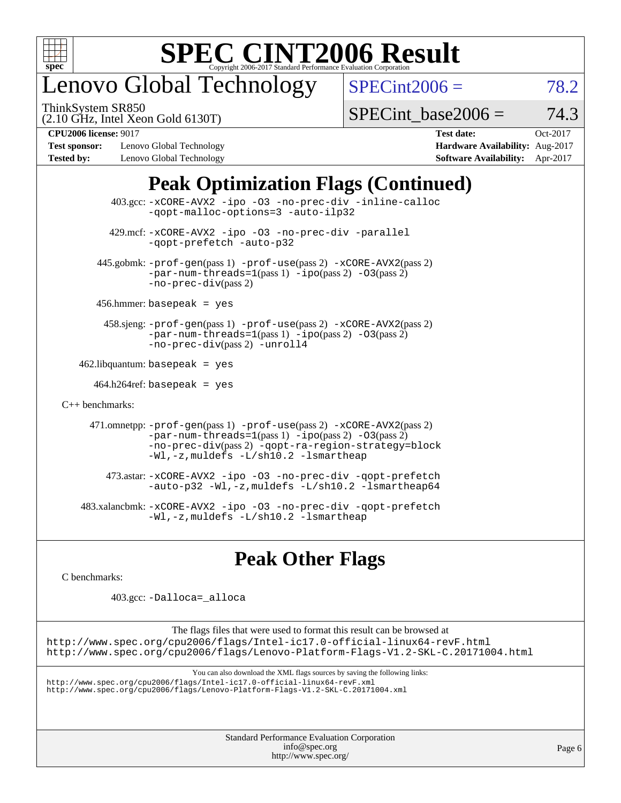

# enovo Global Technology

ThinkSystem SR850

 $SPECint2006 = 78.2$  $SPECint2006 = 78.2$ 

(2.10 GHz, Intel Xeon Gold 6130T)

SPECint base2006 =  $74.3$ 

**[Test sponsor:](http://www.spec.org/auto/cpu2006/Docs/result-fields.html#Testsponsor)** Lenovo Global Technology **[Hardware Availability:](http://www.spec.org/auto/cpu2006/Docs/result-fields.html#HardwareAvailability)** Aug-2017 **[Tested by:](http://www.spec.org/auto/cpu2006/Docs/result-fields.html#Testedby)** Lenovo Global Technology **[Software Availability:](http://www.spec.org/auto/cpu2006/Docs/result-fields.html#SoftwareAvailability)** Apr-2017

**[CPU2006 license:](http://www.spec.org/auto/cpu2006/Docs/result-fields.html#CPU2006license)** 9017 **[Test date:](http://www.spec.org/auto/cpu2006/Docs/result-fields.html#Testdate)** Oct-2017

### **[Peak Optimization Flags \(Continued\)](http://www.spec.org/auto/cpu2006/Docs/result-fields.html#PeakOptimizationFlags)**

 403.gcc: [-xCORE-AVX2](http://www.spec.org/cpu2006/results/res2017q4/cpu2006-20171211-51103.flags.html#user_peakOPTIMIZE403_gcc_f-xCORE-AVX2) [-ipo](http://www.spec.org/cpu2006/results/res2017q4/cpu2006-20171211-51103.flags.html#user_peakOPTIMIZE403_gcc_f-ipo) [-O3](http://www.spec.org/cpu2006/results/res2017q4/cpu2006-20171211-51103.flags.html#user_peakOPTIMIZE403_gcc_f-O3) [-no-prec-div](http://www.spec.org/cpu2006/results/res2017q4/cpu2006-20171211-51103.flags.html#user_peakOPTIMIZE403_gcc_f-no-prec-div) [-inline-calloc](http://www.spec.org/cpu2006/results/res2017q4/cpu2006-20171211-51103.flags.html#user_peakCOPTIMIZE403_gcc_f-inline-calloc) [-qopt-malloc-options=3](http://www.spec.org/cpu2006/results/res2017q4/cpu2006-20171211-51103.flags.html#user_peakCOPTIMIZE403_gcc_f-qopt-malloc-options_0fcb435012e78f27d57f473818e45fe4) [-auto-ilp32](http://www.spec.org/cpu2006/results/res2017q4/cpu2006-20171211-51103.flags.html#user_peakCOPTIMIZE403_gcc_f-auto-ilp32) 429.mcf: [-xCORE-AVX2](http://www.spec.org/cpu2006/results/res2017q4/cpu2006-20171211-51103.flags.html#user_peakOPTIMIZE429_mcf_f-xCORE-AVX2) [-ipo](http://www.spec.org/cpu2006/results/res2017q4/cpu2006-20171211-51103.flags.html#user_peakOPTIMIZE429_mcf_f-ipo) [-O3](http://www.spec.org/cpu2006/results/res2017q4/cpu2006-20171211-51103.flags.html#user_peakOPTIMIZE429_mcf_f-O3) [-no-prec-div](http://www.spec.org/cpu2006/results/res2017q4/cpu2006-20171211-51103.flags.html#user_peakOPTIMIZE429_mcf_f-no-prec-div) [-parallel](http://www.spec.org/cpu2006/results/res2017q4/cpu2006-20171211-51103.flags.html#user_peakCOPTIMIZE429_mcf_f-parallel) [-qopt-prefetch](http://www.spec.org/cpu2006/results/res2017q4/cpu2006-20171211-51103.flags.html#user_peakCOPTIMIZE429_mcf_f-qopt-prefetch) [-auto-p32](http://www.spec.org/cpu2006/results/res2017q4/cpu2006-20171211-51103.flags.html#user_peakCOPTIMIZE429_mcf_f-auto-p32) 445.gobmk: [-prof-gen](http://www.spec.org/cpu2006/results/res2017q4/cpu2006-20171211-51103.flags.html#user_peakPASS1_CFLAGSPASS1_LDCFLAGS445_gobmk_prof_gen_e43856698f6ca7b7e442dfd80e94a8fc)(pass 1) [-prof-use](http://www.spec.org/cpu2006/results/res2017q4/cpu2006-20171211-51103.flags.html#user_peakPASS2_CFLAGSPASS2_LDCFLAGS445_gobmk_prof_use_bccf7792157ff70d64e32fe3e1250b55)(pass 2) [-xCORE-AVX2](http://www.spec.org/cpu2006/results/res2017q4/cpu2006-20171211-51103.flags.html#user_peakPASS2_CFLAGSPASS2_LDCFLAGS445_gobmk_f-xCORE-AVX2)(pass 2)  $-par-num-threads=1(pass 1) -ipo(pass 2) -O3(pass 2)$  $-par-num-threads=1(pass 1) -ipo(pass 2) -O3(pass 2)$  $-par-num-threads=1(pass 1) -ipo(pass 2) -O3(pass 2)$  $-par-num-threads=1(pass 1) -ipo(pass 2) -O3(pass 2)$  $-par-num-threads=1(pass 1) -ipo(pass 2) -O3(pass 2)$  $-par-num-threads=1(pass 1) -ipo(pass 2) -O3(pass 2)$ [-no-prec-div](http://www.spec.org/cpu2006/results/res2017q4/cpu2006-20171211-51103.flags.html#user_peakPASS2_CFLAGSPASS2_LDCFLAGS445_gobmk_f-no-prec-div)(pass 2) 456.hmmer: basepeak = yes 458.sjeng: [-prof-gen](http://www.spec.org/cpu2006/results/res2017q4/cpu2006-20171211-51103.flags.html#user_peakPASS1_CFLAGSPASS1_LDCFLAGS458_sjeng_prof_gen_e43856698f6ca7b7e442dfd80e94a8fc)(pass 1) [-prof-use](http://www.spec.org/cpu2006/results/res2017q4/cpu2006-20171211-51103.flags.html#user_peakPASS2_CFLAGSPASS2_LDCFLAGS458_sjeng_prof_use_bccf7792157ff70d64e32fe3e1250b55)(pass 2) [-xCORE-AVX2](http://www.spec.org/cpu2006/results/res2017q4/cpu2006-20171211-51103.flags.html#user_peakPASS2_CFLAGSPASS2_LDCFLAGS458_sjeng_f-xCORE-AVX2)(pass 2) [-par-num-threads=1](http://www.spec.org/cpu2006/results/res2017q4/cpu2006-20171211-51103.flags.html#user_peakPASS1_CFLAGSPASS1_LDCFLAGS458_sjeng_par_num_threads_786a6ff141b4e9e90432e998842df6c2)(pass 1) [-ipo](http://www.spec.org/cpu2006/results/res2017q4/cpu2006-20171211-51103.flags.html#user_peakPASS2_CFLAGSPASS2_LDCFLAGS458_sjeng_f-ipo)(pass 2) [-O3](http://www.spec.org/cpu2006/results/res2017q4/cpu2006-20171211-51103.flags.html#user_peakPASS2_CFLAGSPASS2_LDCFLAGS458_sjeng_f-O3)(pass 2) [-no-prec-div](http://www.spec.org/cpu2006/results/res2017q4/cpu2006-20171211-51103.flags.html#user_peakPASS2_CFLAGSPASS2_LDCFLAGS458_sjeng_f-no-prec-div)(pass 2) [-unroll4](http://www.spec.org/cpu2006/results/res2017q4/cpu2006-20171211-51103.flags.html#user_peakCOPTIMIZE458_sjeng_f-unroll_4e5e4ed65b7fd20bdcd365bec371b81f)  $462$ .libquantum: basepeak = yes  $464.h264$ ref: basepeak = yes [C++ benchmarks:](http://www.spec.org/auto/cpu2006/Docs/result-fields.html#CXXbenchmarks) 471.omnetpp: [-prof-gen](http://www.spec.org/cpu2006/results/res2017q4/cpu2006-20171211-51103.flags.html#user_peakPASS1_CXXFLAGSPASS1_LDCXXFLAGS471_omnetpp_prof_gen_e43856698f6ca7b7e442dfd80e94a8fc)(pass 1) [-prof-use](http://www.spec.org/cpu2006/results/res2017q4/cpu2006-20171211-51103.flags.html#user_peakPASS2_CXXFLAGSPASS2_LDCXXFLAGS471_omnetpp_prof_use_bccf7792157ff70d64e32fe3e1250b55)(pass 2) [-xCORE-AVX2](http://www.spec.org/cpu2006/results/res2017q4/cpu2006-20171211-51103.flags.html#user_peakPASS2_CXXFLAGSPASS2_LDCXXFLAGS471_omnetpp_f-xCORE-AVX2)(pass 2)  $-par-num-threads=1(pass 1) -ipo(pass 2) -O3(pass 2)$  $-par-num-threads=1(pass 1) -ipo(pass 2) -O3(pass 2)$  $-par-num-threads=1(pass 1) -ipo(pass 2) -O3(pass 2)$  $-par-num-threads=1(pass 1) -ipo(pass 2) -O3(pass 2)$  $-par-num-threads=1(pass 1) -ipo(pass 2) -O3(pass 2)$  $-par-num-threads=1(pass 1) -ipo(pass 2) -O3(pass 2)$ [-no-prec-div](http://www.spec.org/cpu2006/results/res2017q4/cpu2006-20171211-51103.flags.html#user_peakPASS2_CXXFLAGSPASS2_LDCXXFLAGS471_omnetpp_f-no-prec-div)(pass 2) [-qopt-ra-region-strategy=block](http://www.spec.org/cpu2006/results/res2017q4/cpu2006-20171211-51103.flags.html#user_peakCXXOPTIMIZE471_omnetpp_f-qopt-ra-region-strategy_0f7b543d62da454b380160c0e3b28f94) [-Wl,-z,muldefs](http://www.spec.org/cpu2006/results/res2017q4/cpu2006-20171211-51103.flags.html#user_peakEXTRA_LDFLAGS471_omnetpp_link_force_multiple1_74079c344b956b9658436fd1b6dd3a8a) [-L/sh10.2 -lsmartheap](http://www.spec.org/cpu2006/results/res2017q4/cpu2006-20171211-51103.flags.html#user_peakEXTRA_LIBS471_omnetpp_SmartHeap_b831f2d313e2fffa6dfe3f00ffc1f1c0) 473.astar: [-xCORE-AVX2](http://www.spec.org/cpu2006/results/res2017q4/cpu2006-20171211-51103.flags.html#user_peakOPTIMIZE473_astar_f-xCORE-AVX2) [-ipo](http://www.spec.org/cpu2006/results/res2017q4/cpu2006-20171211-51103.flags.html#user_peakOPTIMIZE473_astar_f-ipo) [-O3](http://www.spec.org/cpu2006/results/res2017q4/cpu2006-20171211-51103.flags.html#user_peakOPTIMIZE473_astar_f-O3) [-no-prec-div](http://www.spec.org/cpu2006/results/res2017q4/cpu2006-20171211-51103.flags.html#user_peakOPTIMIZE473_astar_f-no-prec-div) [-qopt-prefetch](http://www.spec.org/cpu2006/results/res2017q4/cpu2006-20171211-51103.flags.html#user_peakCXXOPTIMIZE473_astar_f-qopt-prefetch) [-auto-p32](http://www.spec.org/cpu2006/results/res2017q4/cpu2006-20171211-51103.flags.html#user_peakCXXOPTIMIZE473_astar_f-auto-p32) [-Wl,-z,muldefs](http://www.spec.org/cpu2006/results/res2017q4/cpu2006-20171211-51103.flags.html#user_peakEXTRA_LDFLAGS473_astar_link_force_multiple1_74079c344b956b9658436fd1b6dd3a8a) [-L/sh10.2 -lsmartheap64](http://www.spec.org/cpu2006/results/res2017q4/cpu2006-20171211-51103.flags.html#user_peakEXTRA_LIBS473_astar_SmartHeap64_63911d860fc08c15fa1d5bf319b9d8d5) 483.xalancbmk: [-xCORE-AVX2](http://www.spec.org/cpu2006/results/res2017q4/cpu2006-20171211-51103.flags.html#user_peakOPTIMIZE483_xalancbmk_f-xCORE-AVX2) [-ipo](http://www.spec.org/cpu2006/results/res2017q4/cpu2006-20171211-51103.flags.html#user_peakOPTIMIZE483_xalancbmk_f-ipo) [-O3](http://www.spec.org/cpu2006/results/res2017q4/cpu2006-20171211-51103.flags.html#user_peakOPTIMIZE483_xalancbmk_f-O3) [-no-prec-div](http://www.spec.org/cpu2006/results/res2017q4/cpu2006-20171211-51103.flags.html#user_peakOPTIMIZE483_xalancbmk_f-no-prec-div) [-qopt-prefetch](http://www.spec.org/cpu2006/results/res2017q4/cpu2006-20171211-51103.flags.html#user_peakCXXOPTIMIZE483_xalancbmk_f-qopt-prefetch) [-Wl,-z,muldefs](http://www.spec.org/cpu2006/results/res2017q4/cpu2006-20171211-51103.flags.html#user_peakEXTRA_LDFLAGS483_xalancbmk_link_force_multiple1_74079c344b956b9658436fd1b6dd3a8a) [-L/sh10.2 -lsmartheap](http://www.spec.org/cpu2006/results/res2017q4/cpu2006-20171211-51103.flags.html#user_peakEXTRA_LIBS483_xalancbmk_SmartHeap_b831f2d313e2fffa6dfe3f00ffc1f1c0)

### **[Peak Other Flags](http://www.spec.org/auto/cpu2006/Docs/result-fields.html#PeakOtherFlags)**

[C benchmarks](http://www.spec.org/auto/cpu2006/Docs/result-fields.html#Cbenchmarks):

403.gcc: [-Dalloca=\\_alloca](http://www.spec.org/cpu2006/results/res2017q4/cpu2006-20171211-51103.flags.html#b403.gcc_peakEXTRA_CFLAGS_Dalloca_be3056838c12de2578596ca5467af7f3)

The flags files that were used to format this result can be browsed at <http://www.spec.org/cpu2006/flags/Intel-ic17.0-official-linux64-revF.html> <http://www.spec.org/cpu2006/flags/Lenovo-Platform-Flags-V1.2-SKL-C.20171004.html>

You can also download the XML flags sources by saving the following links:

<http://www.spec.org/cpu2006/flags/Intel-ic17.0-official-linux64-revF.xml> <http://www.spec.org/cpu2006/flags/Lenovo-Platform-Flags-V1.2-SKL-C.20171004.xml>